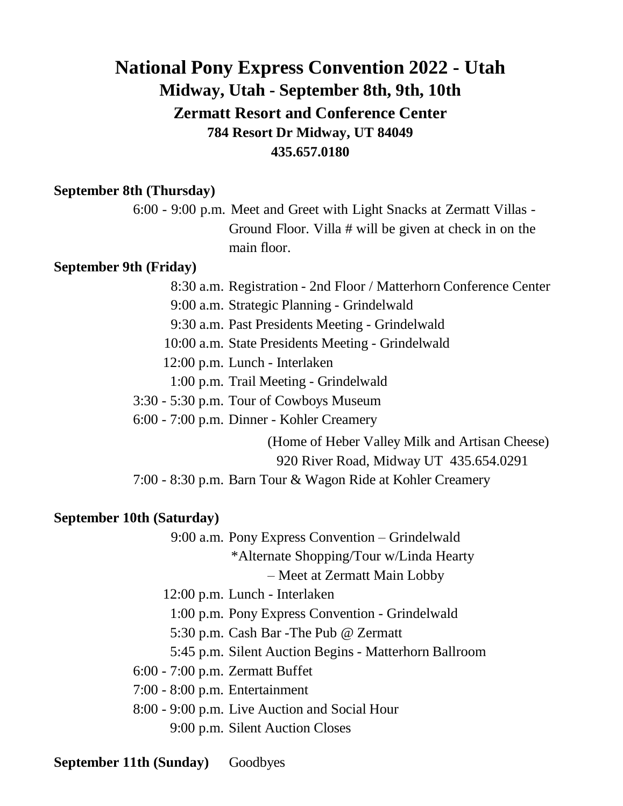## **National Pony Express Convention 2022 - Utah Midway, Utah - September 8th, 9th, 10th Zermatt Resort and Conference Center 784 Resort Dr Midway, UT 84049 435.657.0180**

### **September 8th (Thursday)**

6:00 - 9:00 p.m. Meet and Greet with Light Snacks at Zermatt Villas - Ground Floor. Villa # will be given at check in on the main floor.

## **September 9th (Friday)**

- 8:30 a.m. Registration 2nd Floor / Matterhorn Conference Center
- 9:00 a.m. Strategic Planning Grindelwald
- 9:30 a.m. Past Presidents Meeting Grindelwald
- 10:00 a.m. State Presidents Meeting Grindelwald
- 12:00 p.m. Lunch Interlaken
- 1:00 p.m. Trail Meeting Grindelwald
- 3:30 5:30 p.m. Tour of Cowboys Museum
- 6:00 7:00 p.m. Dinner Kohler Creamery

(Home of Heber Valley Milk and Artisan Cheese) 920 River Road, Midway UT 435.654.0291

7:00 - 8:30 p.m. Barn Tour & Wagon Ride at Kohler Creamery

#### **September 10th (Saturday)**

- 9:00 a.m. Pony Express Convention Grindelwald
	- \*Alternate Shopping/Tour w/Linda Hearty
		- Meet at Zermatt Main Lobby
- 12:00 p.m. Lunch Interlaken
	- 1:00 p.m. Pony Express Convention Grindelwald
	- 5:30 p.m. Cash Bar -The Pub @ Zermatt
- 5:45 p.m. Silent Auction Begins Matterhorn Ballroom
- 6:00 7:00 p.m. Zermatt Buffet
- 7:00 8:00 p.m. Entertainment
- 8:00 9:00 p.m. Live Auction and Social Hour 9:00 p.m. Silent Auction Closes

**September 11th (Sunday)** Goodbyes